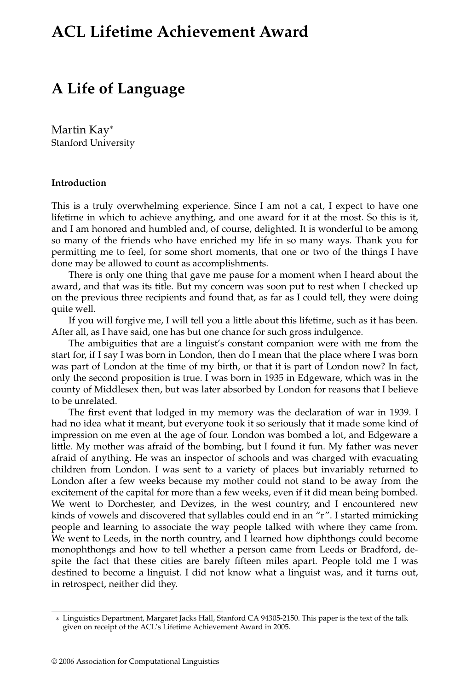## **ACL Lifetime Achievement Award**

## **A Life of Language**

Martin Kay<sup>∗</sup> Stanford University

## **Introduction**

This is a truly overwhelming experience. Since I am not a cat, I expect to have one lifetime in which to achieve anything, and one award for it at the most. So this is it, and I am honored and humbled and, of course, delighted. It is wonderful to be among so many of the friends who have enriched my life in so many ways. Thank you for permitting me to feel, for some short moments, that one or two of the things I have done may be allowed to count as accomplishments.

There is only one thing that gave me pause for a moment when I heard about the award, and that was its title. But my concern was soon put to rest when I checked up on the previous three recipients and found that, as far as I could tell, they were doing quite well.

If you will forgive me, I will tell you a little about this lifetime, such as it has been. After all, as I have said, one has but one chance for such gross indulgence.

The ambiguities that are a linguist's constant companion were with me from the start for, if I say I was born in London, then do I mean that the place where I was born was part of London at the time of my birth, or that it is part of London now? In fact, only the second proposition is true. I was born in 1935 in Edgeware, which was in the county of Middlesex then, but was later absorbed by London for reasons that I believe to be unrelated.

The first event that lodged in my memory was the declaration of war in 1939. I had no idea what it meant, but everyone took it so seriously that it made some kind of impression on me even at the age of four. London was bombed a lot, and Edgeware a little. My mother was afraid of the bombing, but I found it fun. My father was never afraid of anything. He was an inspector of schools and was charged with evacuating children from London. I was sent to a variety of places but invariably returned to London after a few weeks because my mother could not stand to be away from the excitement of the capital for more than a few weeks, even if it did mean being bombed. We went to Dorchester, and Devizes, in the west country, and I encountered new kinds of vowels and discovered that syllables could end in an "r". I started mimicking people and learning to associate the way people talked with where they came from. We went to Leeds, in the north country, and I learned how diphthongs could become monophthongs and how to tell whether a person came from Leeds or Bradford, despite the fact that these cities are barely fifteen miles apart. People told me I was destined to become a linguist. I did not know what a linguist was, and it turns out, in retrospect, neither did they.

<sup>∗</sup> Linguistics Department, Margaret Jacks Hall, Stanford CA 94305-2150. This paper is the text of the talk given on receipt of the ACL's Lifetime Achievement Award in 2005.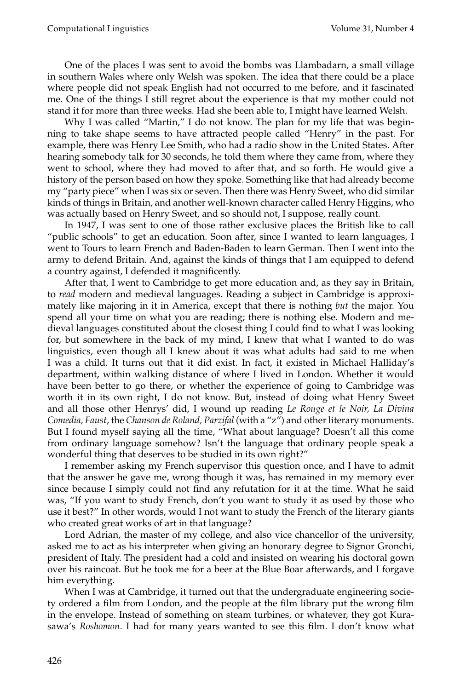One of the places I was sent to avoid the bombs was Llambadarn, a small village in southern Wales where only Welsh was spoken. The idea that there could be a place where people did not speak English had not occurred to me before, and it fascinated me. One of the things I still regret about the experience is that my mother could not stand it for more than three weeks. Had she been able to, I might have learned Welsh.

Why I was called "Martin," I do not know. The plan for my life that was beginning to take shape seems to have attracted people called "Henry" in the past. For example, there was Henry Lee Smith, who had a radio show in the United States. After hearing somebody talk for 30 seconds, he told them where they came from, where they went to school, where they had moved to after that, and so forth. He would give a history of the person based on how they spoke. Something like that had already become my "party piece" when I was six or seven. Then there was Henry Sweet, who did similar kinds of things in Britain, and another well-known character called Henry Higgins, who was actually based on Henry Sweet, and so should not, I suppose, really count.

In 1947, I was sent to one of those rather exclusive places the British like to call "public schools" to get an education. Soon after, since I wanted to learn languages, I went to Tours to learn French and Baden-Baden to learn German. Then I went into the army to defend Britain. And, against the kinds of things that I am equipped to defend a country against, I defended it magnificently.

After that, I went to Cambridge to get more education and, as they say in Britain, to *read* modern and medieval languages. Reading a subject in Cambridge is approximately like majoring in it in America, except that there is nothing *but* the major. You spend all your time on what you are reading; there is nothing else. Modern and medieval languages constituted about the closest thing I could find to what I was looking for, but somewhere in the back of my mind, I knew that what I wanted to do was linguistics, even though all I knew about it was what adults had said to me when I was a child. It turns out that it did exist. In fact, it existed in Michael Halliday's department, within walking distance of where I lived in London. Whether it would have been better to go there, or whether the experience of going to Cambridge was worth it in its own right, I do not know. But, instead of doing what Henry Sweet and all those other Henrys' did, I wound up reading *Le Rouge et le Noir, La Divina Comedia, Faust*, the *Chanson de Roland, Parzifal* (with a "z") and other literary monuments. But I found myself saying all the time, "What about language? Doesn't all this come from ordinary language somehow? Isn't the language that ordinary people speak a wonderful thing that deserves to be studied in its own right?"

I remember asking my French supervisor this question once, and I have to admit that the answer he gave me, wrong though it was, has remained in my memory ever since because I simply could not find any refutation for it at the time. What he said was, "If you want to study French, don't you want to study it as used by those who use it best?" In other words, would I not want to study the French of the literary giants who created great works of art in that language?

Lord Adrian, the master of my college, and also vice chancellor of the university, asked me to act as his interpreter when giving an honorary degree to Signor Gronchi, president of Italy. The president had a cold and insisted on wearing his doctoral gown over his raincoat. But he took me for a beer at the Blue Boar afterwards, and I forgave him everything.

When I was at Cambridge, it turned out that the undergraduate engineering society ordered a film from London, and the people at the film library put the wrong film in the envelope. Instead of something on steam turbines, or whatever, they got Kurasawa's *Roshomon*. I had for many years wanted to see this film. I don't know what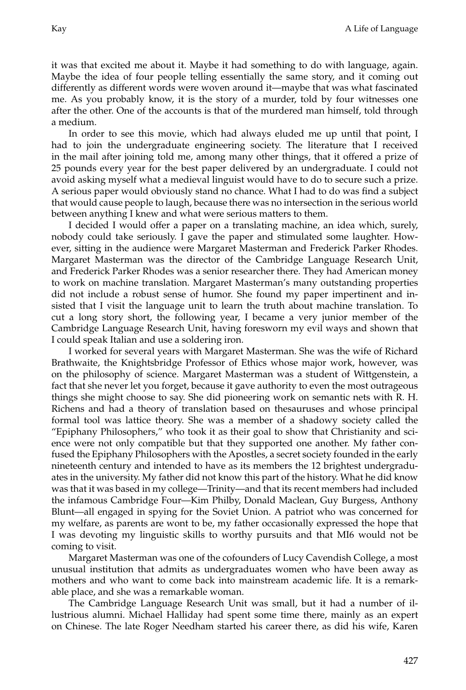it was that excited me about it. Maybe it had something to do with language, again. Maybe the idea of four people telling essentially the same story, and it coming out differently as different words were woven around it—maybe that was what fascinated me. As you probably know, it is the story of a murder, told by four witnesses one after the other. One of the accounts is that of the murdered man himself, told through a medium.

In order to see this movie, which had always eluded me up until that point, I had to join the undergraduate engineering society. The literature that I received in the mail after joining told me, among many other things, that it offered a prize of 25 pounds every year for the best paper delivered by an undergraduate. I could not avoid asking myself what a medieval linguist would have to do to secure such a prize. A serious paper would obviously stand no chance. What I had to do was find a subject that would cause people to laugh, because there was no intersection in the serious world between anything I knew and what were serious matters to them.

I decided I would offer a paper on a translating machine, an idea which, surely, nobody could take seriously. I gave the paper and stimulated some laughter. However, sitting in the audience were Margaret Masterman and Frederick Parker Rhodes. Margaret Masterman was the director of the Cambridge Language Research Unit, and Frederick Parker Rhodes was a senior researcher there. They had American money to work on machine translation. Margaret Masterman's many outstanding properties did not include a robust sense of humor. She found my paper impertinent and insisted that I visit the language unit to learn the truth about machine translation. To cut a long story short, the following year, I became a very junior member of the Cambridge Language Research Unit, having foresworn my evil ways and shown that I could speak Italian and use a soldering iron.

I worked for several years with Margaret Masterman. She was the wife of Richard Brathwaite, the Knightsbridge Professor of Ethics whose major work, however, was on the philosophy of science. Margaret Masterman was a student of Wittgenstein, a fact that she never let you forget, because it gave authority to even the most outrageous things she might choose to say. She did pioneering work on semantic nets with R. H. Richens and had a theory of translation based on thesauruses and whose principal formal tool was lattice theory. She was a member of a shadowy society called the "Epiphany Philosophers," who took it as their goal to show that Christianity and science were not only compatible but that they supported one another. My father confused the Epiphany Philosophers with the Apostles, a secret society founded in the early nineteenth century and intended to have as its members the 12 brightest undergraduates in the university. My father did not know this part of the history. What he did know was that it was based in my college—Trinity—and that its recent members had included the infamous Cambridge Four—Kim Philby, Donald Maclean, Guy Burgess, Anthony Blunt—all engaged in spying for the Soviet Union. A patriot who was concerned for my welfare, as parents are wont to be, my father occasionally expressed the hope that I was devoting my linguistic skills to worthy pursuits and that MI6 would not be coming to visit.

Margaret Masterman was one of the cofounders of Lucy Cavendish College, a most unusual institution that admits as undergraduates women who have been away as mothers and who want to come back into mainstream academic life. It is a remarkable place, and she was a remarkable woman.

The Cambridge Language Research Unit was small, but it had a number of illustrious alumni. Michael Halliday had spent some time there, mainly as an expert on Chinese. The late Roger Needham started his career there, as did his wife, Karen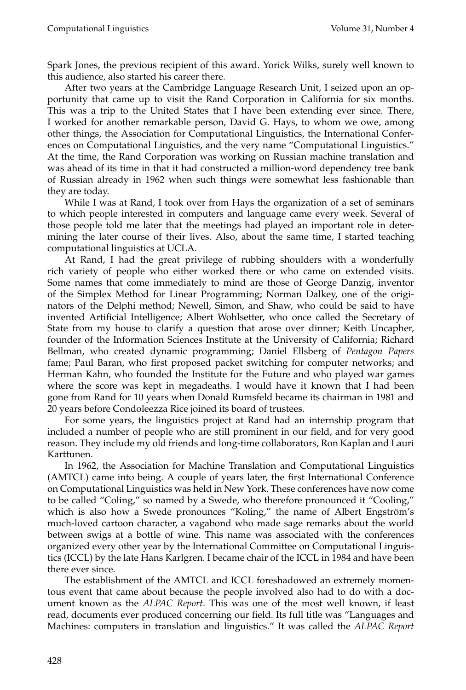Spark Jones, the previous recipient of this award. Yorick Wilks, surely well known to this audience, also started his career there.

After two years at the Cambridge Language Research Unit, I seized upon an opportunity that came up to visit the Rand Corporation in California for six months. This was a trip to the United States that I have been extending ever since. There, I worked for another remarkable person, David G. Hays, to whom we owe, among other things, the Association for Computational Linguistics, the International Conferences on Computational Linguistics, and the very name "Computational Linguistics." At the time, the Rand Corporation was working on Russian machine translation and was ahead of its time in that it had constructed a million-word dependency tree bank of Russian already in 1962 when such things were somewhat less fashionable than they are today.

While I was at Rand, I took over from Hays the organization of a set of seminars to which people interested in computers and language came every week. Several of those people told me later that the meetings had played an important role in determining the later course of their lives. Also, about the same time, I started teaching computational linguistics at UCLA.

At Rand, I had the great privilege of rubbing shoulders with a wonderfully rich variety of people who either worked there or who came on extended visits. Some names that come immediately to mind are those of George Danzig, inventor of the Simplex Method for Linear Programming; Norman Dalkey, one of the originators of the Delphi method; Newell, Simon, and Shaw, who could be said to have invented Artificial Intelligence; Albert Wohlsetter, who once called the Secretary of State from my house to clarify a question that arose over dinner; Keith Uncapher, founder of the Information Sciences Institute at the University of California; Richard Bellman, who created dynamic programming; Daniel Ellsberg of *Pentagon Papers* fame; Paul Baran, who first proposed packet switching for computer networks; and Herman Kahn, who founded the Institute for the Future and who played war games where the score was kept in megadeaths. I would have it known that I had been gone from Rand for 10 years when Donald Rumsfeld became its chairman in 1981 and 20 years before Condoleezza Rice joined its board of trustees.

For some years, the linguistics project at Rand had an internship program that included a number of people who are still prominent in our field, and for very good reason. They include my old friends and long-time collaborators, Ron Kaplan and Lauri Karttunen.

In 1962, the Association for Machine Translation and Computational Linguistics (AMTCL) came into being. A couple of years later, the first International Conference on Computational Linguistics was held in New York. These conferences have now come to be called "Coling," so named by a Swede, who therefore pronounced it "Cooling," which is also how a Swede pronounces "Koling," the name of Albert Engström's much-loved cartoon character, a vagabond who made sage remarks about the world between swigs at a bottle of wine. This name was associated with the conferences organized every other year by the International Committee on Computational Linguistics (ICCL) by the late Hans Karlgren. I became chair of the ICCL in 1984 and have been there ever since.

The establishment of the AMTCL and ICCL foreshadowed an extremely momentous event that came about because the people involved also had to do with a document known as the *ALPAC Report*. This was one of the most well known, if least read, documents ever produced concerning our field. Its full title was "Languages and Machines: computers in translation and linguistics." It was called the *ALPAC Report*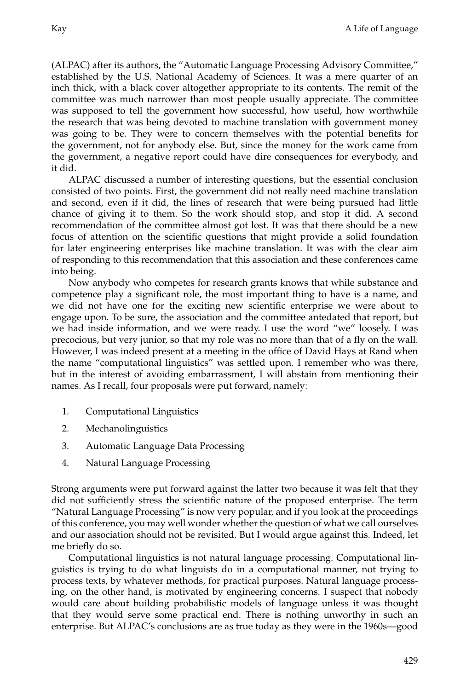(ALPAC) after its authors, the "Automatic Language Processing Advisory Committee," established by the U.S. National Academy of Sciences. It was a mere quarter of an inch thick, with a black cover altogether appropriate to its contents. The remit of the committee was much narrower than most people usually appreciate. The committee was supposed to tell the government how successful, how useful, how worthwhile the research that was being devoted to machine translation with government money was going to be. They were to concern themselves with the potential benefits for the government, not for anybody else. But, since the money for the work came from the government, a negative report could have dire consequences for everybody, and it did.

ALPAC discussed a number of interesting questions, but the essential conclusion consisted of two points. First, the government did not really need machine translation and second, even if it did, the lines of research that were being pursued had little chance of giving it to them. So the work should stop, and stop it did. A second recommendation of the committee almost got lost. It was that there should be a new focus of attention on the scientific questions that might provide a solid foundation for later engineering enterprises like machine translation. It was with the clear aim of responding to this recommendation that this association and these conferences came into being.

Now anybody who competes for research grants knows that while substance and competence play a significant role, the most important thing to have is a name, and we did not have one for the exciting new scientific enterprise we were about to engage upon. To be sure, the association and the committee antedated that report, but we had inside information, and we were ready. I use the word "we" loosely. I was precocious, but very junior, so that my role was no more than that of a fly on the wall. However, I was indeed present at a meeting in the office of David Hays at Rand when the name "computational linguistics" was settled upon. I remember who was there, but in the interest of avoiding embarrassment, I will abstain from mentioning their names. As I recall, four proposals were put forward, namely:

- 1. Computational Linguistics
- 2. Mechanolinguistics
- 3. Automatic Language Data Processing
- 4. Natural Language Processing

Strong arguments were put forward against the latter two because it was felt that they did not sufficiently stress the scientific nature of the proposed enterprise. The term "Natural Language Processing" is now very popular, and if you look at the proceedings of this conference, you may well wonder whether the question of what we call ourselves and our association should not be revisited. But I would argue against this. Indeed, let me briefly do so.

Computational linguistics is not natural language processing. Computational linguistics is trying to do what linguists do in a computational manner, not trying to process texts, by whatever methods, for practical purposes. Natural language processing, on the other hand, is motivated by engineering concerns. I suspect that nobody would care about building probabilistic models of language unless it was thought that they would serve some practical end. There is nothing unworthy in such an enterprise. But ALPAC's conclusions are as true today as they were in the 1960s—good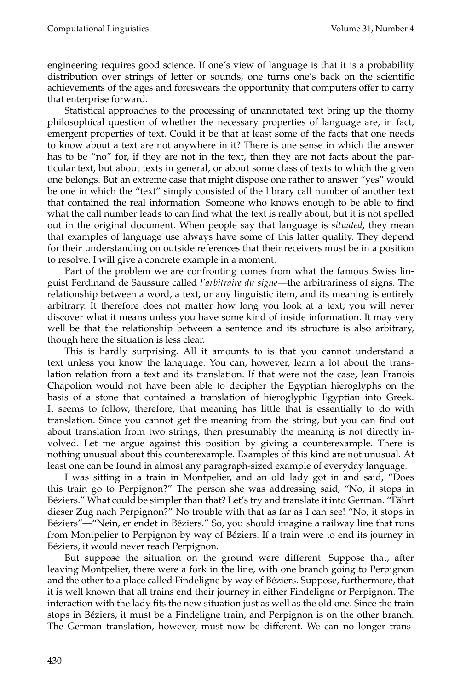engineering requires good science. If one's view of language is that it is a probability distribution over strings of letter or sounds, one turns one's back on the scientific achievements of the ages and foreswears the opportunity that computers offer to carry that enterprise forward.

Statistical approaches to the processing of unannotated text bring up the thorny philosophical question of whether the necessary properties of language are, in fact, emergent properties of text. Could it be that at least some of the facts that one needs to know about a text are not anywhere in it? There is one sense in which the answer has to be "no" for, if they are not in the text, then they are not facts about the particular text, but about texts in general, or about some class of texts to which the given one belongs. But an extreme case that might dispose one rather to answer "yes" would be one in which the "text" simply consisted of the library call number of another text that contained the real information. Someone who knows enough to be able to find what the call number leads to can find what the text is really about, but it is not spelled out in the original document. When people say that language is *situated*, they mean that examples of language use always have some of this latter quality. They depend for their understanding on outside references that their receivers must be in a position to resolve. I will give a concrete example in a moment.

Part of the problem we are confronting comes from what the famous Swiss linguist Ferdinand de Saussure called *l'arbitraire du signe*—the arbitrariness of signs. The relationship between a word, a text, or any linguistic item, and its meaning is entirely arbitrary. It therefore does not matter how long you look at a text; you will never discover what it means unless you have some kind of inside information. It may very well be that the relationship between a sentence and its structure is also arbitrary, though here the situation is less clear.

This is hardly surprising. All it amounts to is that you cannot understand a text unless you know the language. You can, however, learn a lot about the translation relation from a text and its translation. If that were not the case, Jean Franois Chapolion would not have been able to decipher the Egyptian hieroglyphs on the basis of a stone that contained a translation of hieroglyphic Egyptian into Greek. It seems to follow, therefore, that meaning has little that is essentially to do with translation. Since you cannot get the meaning from the string, but you can find out about translation from two strings, then presumably the meaning is not directly involved. Let me argue against this position by giving a counterexample. There is nothing unusual about this counterexample. Examples of this kind are not unusual. At least one can be found in almost any paragraph-sized example of everyday language.

I was sitting in a train in Montpelier, and an old lady got in and said, "Does this train go to Perpignon?" The person she was addressing said, "No, it stops in Béziers." What could be simpler than that? Let's try and translate it into German. "Fährt dieser Zug nach Perpignon?" No trouble with that as far as I can see! "No, it stops in Béziers"—"Nein, er endet in Béziers." So, you should imagine a railway line that runs from Montpelier to Perpignon by way of Beziers. If a train were to end its journey in ´ Béziers, it would never reach Perpignon.

But suppose the situation on the ground were different. Suppose that, after leaving Montpelier, there were a fork in the line, with one branch going to Perpignon and the other to a place called Findeligne by way of Beziers. Suppose, furthermore, that ´ it is well known that all trains end their journey in either Findeligne or Perpignon. The interaction with the lady fits the new situation just as well as the old one. Since the train stops in Béziers, it must be a Findeligne train, and Perpignon is on the other branch. The German translation, however, must now be different. We can no longer trans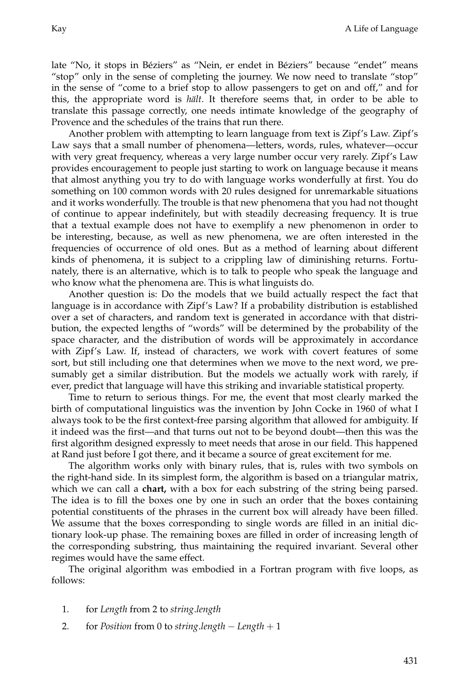late "No, it stops in Béziers" as "Nein, er endet in Béziers" because "endet" means "stop" only in the sense of completing the journey. We now need to translate "stop" in the sense of "come to a brief stop to allow passengers to get on and off," and for this, the appropriate word is *h¨alt*. It therefore seems that, in order to be able to translate this passage correctly, one needs intimate knowledge of the geography of Provence and the schedules of the trains that run there.

Another problem with attempting to learn language from text is Zipf's Law. Zipf's Law says that a small number of phenomena—letters, words, rules, whatever—occur with very great frequency, whereas a very large number occur very rarely. Zipf's Law provides encouragement to people just starting to work on language because it means that almost anything you try to do with language works wonderfully at first. You do something on 100 common words with 20 rules designed for unremarkable situations and it works wonderfully. The trouble is that new phenomena that you had not thought of continue to appear indefinitely, but with steadily decreasing frequency. It is true that a textual example does not have to exemplify a new phenomenon in order to be interesting, because, as well as new phenomena, we are often interested in the frequencies of occurrence of old ones. But as a method of learning about different kinds of phenomena, it is subject to a crippling law of diminishing returns. Fortunately, there is an alternative, which is to talk to people who speak the language and who know what the phenomena are. This is what linguists do.

Another question is: Do the models that we build actually respect the fact that language is in accordance with Zipf's Law? If a probability distribution is established over a set of characters, and random text is generated in accordance with that distribution, the expected lengths of "words" will be determined by the probability of the space character, and the distribution of words will be approximately in accordance with Zipf's Law. If, instead of characters, we work with covert features of some sort, but still including one that determines when we move to the next word, we presumably get a similar distribution. But the models we actually work with rarely, if ever, predict that language will have this striking and invariable statistical property.

Time to return to serious things. For me, the event that most clearly marked the birth of computational linguistics was the invention by John Cocke in 1960 of what I always took to be the first context-free parsing algorithm that allowed for ambiguity. If it indeed was the first—and that turns out not to be beyond doubt—then this was the first algorithm designed expressly to meet needs that arose in our field. This happened at Rand just before I got there, and it became a source of great excitement for me.

The algorithm works only with binary rules, that is, rules with two symbols on the right-hand side. In its simplest form, the algorithm is based on a triangular matrix, which we can call a **chart,** with a box for each substring of the string being parsed. The idea is to fill the boxes one by one in such an order that the boxes containing potential constituents of the phrases in the current box will already have been filled. We assume that the boxes corresponding to single words are filled in an initial dictionary look-up phase. The remaining boxes are filled in order of increasing length of the corresponding substring, thus maintaining the required invariant. Several other regimes would have the same effect.

The original algorithm was embodied in a Fortran program with five loops, as follows:

- 1. for *Length* from 2 to *string*.*length*
- 2. for *Position* from 0 to *string*.*length* − *Length* + 1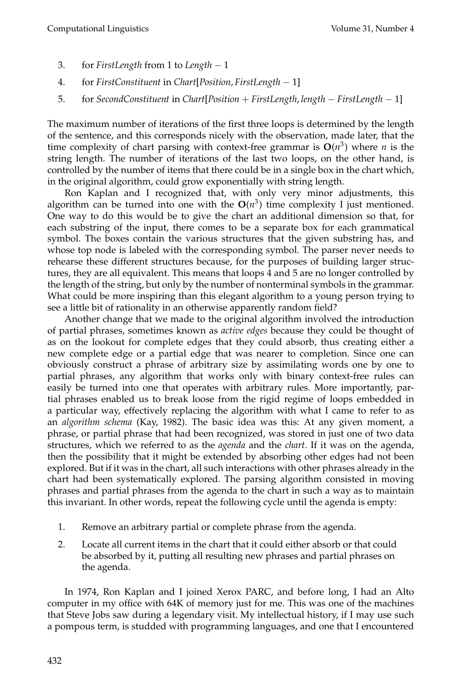- 3. for *FirstLength* from 1 to *Length* − 1
- 4. for *FirstConstituent* in *Chart*[*Position*, *FirstLength* − 1]
- 5. for *SecondConstituent* in *Chart*[*Position* + *FirstLength*, *length* − *FirstLength* − 1]

The maximum number of iterations of the first three loops is determined by the length of the sentence, and this corresponds nicely with the observation, made later, that the time complexity of chart parsing with context-free grammar is  $O(n^3)$  where *n* is the string length. The number of iterations of the last two loops, on the other hand, is controlled by the number of items that there could be in a single box in the chart which, in the original algorithm, could grow exponentially with string length.

Ron Kaplan and I recognized that, with only very minor adjustments, this algorithm can be turned into one with the  $O(n^3)$  time complexity I just mentioned. One way to do this would be to give the chart an additional dimension so that, for each substring of the input, there comes to be a separate box for each grammatical symbol. The boxes contain the various structures that the given substring has, and whose top node is labeled with the corresponding symbol. The parser never needs to rehearse these different structures because, for the purposes of building larger structures, they are all equivalent. This means that loops 4 and 5 are no longer controlled by the length of the string, but only by the number of nonterminal symbols in the grammar. What could be more inspiring than this elegant algorithm to a young person trying to see a little bit of rationality in an otherwise apparently random field?

Another change that we made to the original algorithm involved the introduction of partial phrases, sometimes known as *active edges* because they could be thought of as on the lookout for complete edges that they could absorb, thus creating either a new complete edge or a partial edge that was nearer to completion. Since one can obviously construct a phrase of arbitrary size by assimilating words one by one to partial phrases, any algorithm that works only with binary context-free rules can easily be turned into one that operates with arbitrary rules. More importantly, partial phrases enabled us to break loose from the rigid regime of loops embedded in a particular way, effectively replacing the algorithm with what I came to refer to as an *algorithm schema* (Kay, 1982). The basic idea was this: At any given moment, a phrase, or partial phrase that had been recognized, was stored in just one of two data structures, which we referred to as the *agenda* and the *chart*. If it was on the agenda, then the possibility that it might be extended by absorbing other edges had not been explored. But if it was in the chart, all such interactions with other phrases already in the chart had been systematically explored. The parsing algorithm consisted in moving phrases and partial phrases from the agenda to the chart in such a way as to maintain this invariant. In other words, repeat the following cycle until the agenda is empty:

- 1. Remove an arbitrary partial or complete phrase from the agenda.
- 2. Locate all current items in the chart that it could either absorb or that could be absorbed by it, putting all resulting new phrases and partial phrases on the agenda.

In 1974, Ron Kaplan and I joined Xerox PARC, and before long, I had an Alto computer in my office with 64K of memory just for me. This was one of the machines that Steve Jobs saw during a legendary visit. My intellectual history, if I may use such a pompous term, is studded with programming languages, and one that I encountered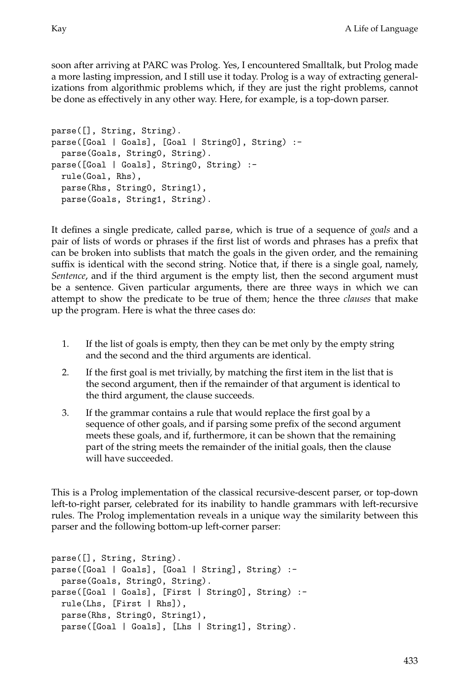soon after arriving at PARC was Prolog. Yes, I encountered Smalltalk, but Prolog made a more lasting impression, and I still use it today. Prolog is a way of extracting generalizations from algorithmic problems which, if they are just the right problems, cannot be done as effectively in any other way. Here, for example, is a top-down parser.

```
parse([], String, String).
parse([Goal | Goals], [Goal | String0], String) :-
 parse(Goals, String0, String).
parse([Goal | Goals], String0, String) :-
 rule(Goal, Rhs),
 parse(Rhs, String0, String1),
 parse(Goals, String1, String).
```
It defines a single predicate, called parse, which is true of a sequence of *goals* and a pair of lists of words or phrases if the first list of words and phrases has a prefix that can be broken into sublists that match the goals in the given order, and the remaining suffix is identical with the second string. Notice that, if there is a single goal, namely, *Sentence*, and if the third argument is the empty list, then the second argument must be a sentence. Given particular arguments, there are three ways in which we can attempt to show the predicate to be true of them; hence the three *clauses* that make up the program. Here is what the three cases do:

- 1. If the list of goals is empty, then they can be met only by the empty string and the second and the third arguments are identical.
- 2. If the first goal is met trivially, by matching the first item in the list that is the second argument, then if the remainder of that argument is identical to the third argument, the clause succeeds.
- 3. If the grammar contains a rule that would replace the first goal by a sequence of other goals, and if parsing some prefix of the second argument meets these goals, and if, furthermore, it can be shown that the remaining part of the string meets the remainder of the initial goals, then the clause will have succeeded.

This is a Prolog implementation of the classical recursive-descent parser, or top-down left-to-right parser, celebrated for its inability to handle grammars with left-recursive rules. The Prolog implementation reveals in a unique way the similarity between this parser and the following bottom-up left-corner parser:

```
parse([], String, String).
parse([Goal | Goals], [Goal | String], String) :-
 parse(Goals, String0, String).
parse([Goal | Goals], [First | String0], String) :-
 rule(Lhs, [First | Rhs]),
 parse(Rhs, String0, String1),
 parse([Goal | Goals], [Lhs | String1], String).
```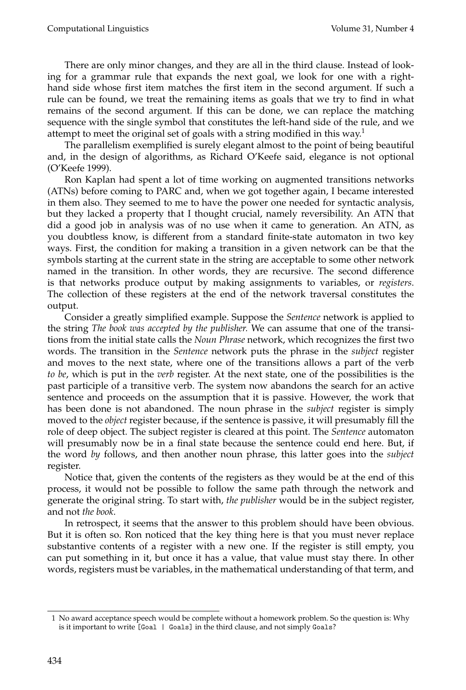There are only minor changes, and they are all in the third clause. Instead of looking for a grammar rule that expands the next goal, we look for one with a righthand side whose first item matches the first item in the second argument. If such a rule can be found, we treat the remaining items as goals that we try to find in what remains of the second argument. If this can be done, we can replace the matching sequence with the single symbol that constitutes the left-hand side of the rule, and we attempt to meet the original set of goals with a string modified in this way.<sup>1</sup>

The parallelism exemplified is surely elegant almost to the point of being beautiful and, in the design of algorithms, as Richard O'Keefe said, elegance is not optional (O'Keefe 1999).

Ron Kaplan had spent a lot of time working on augmented transitions networks (ATNs) before coming to PARC and, when we got together again, I became interested in them also. They seemed to me to have the power one needed for syntactic analysis, but they lacked a property that I thought crucial, namely reversibility. An ATN that did a good job in analysis was of no use when it came to generation. An ATN, as you doubtless know, is different from a standard finite-state automaton in two key ways. First, the condition for making a transition in a given network can be that the symbols starting at the current state in the string are acceptable to some other network named in the transition. In other words, they are recursive. The second difference is that networks produce output by making assignments to variables, or *registers*. The collection of these registers at the end of the network traversal constitutes the output.

Consider a greatly simplified example. Suppose the *Sentence* network is applied to the string *The book was accepted by the publisher.* We can assume that one of the transitions from the initial state calls the *Noun Phrase* network, which recognizes the first two words. The transition in the *Sentence* network puts the phrase in the *subject* register and moves to the next state, where one of the transitions allows a part of the verb *to be*, which is put in the *verb* register. At the next state, one of the possibilities is the past participle of a transitive verb. The system now abandons the search for an active sentence and proceeds on the assumption that it is passive. However, the work that has been done is not abandoned. The noun phrase in the *subject* register is simply moved to the *object* register because, if the sentence is passive, it will presumably fill the role of deep object. The subject register is cleared at this point. The *Sentence* automaton will presumably now be in a final state because the sentence could end here. But, if the word *by* follows, and then another noun phrase, this latter goes into the *subject* register.

Notice that, given the contents of the registers as they would be at the end of this process, it would not be possible to follow the same path through the network and generate the original string. To start with, *the publisher* would be in the subject register, and not *the book*.

In retrospect, it seems that the answer to this problem should have been obvious. But it is often so. Ron noticed that the key thing here is that you must never replace substantive contents of a register with a new one. If the register is still empty, you can put something in it, but once it has a value, that value must stay there. In other words, registers must be variables, in the mathematical understanding of that term, and

<sup>1</sup> No award acceptance speech would be complete without a homework problem. So the question is: Why is it important to write [Goal | Goals] in the third clause, and not simply Goals?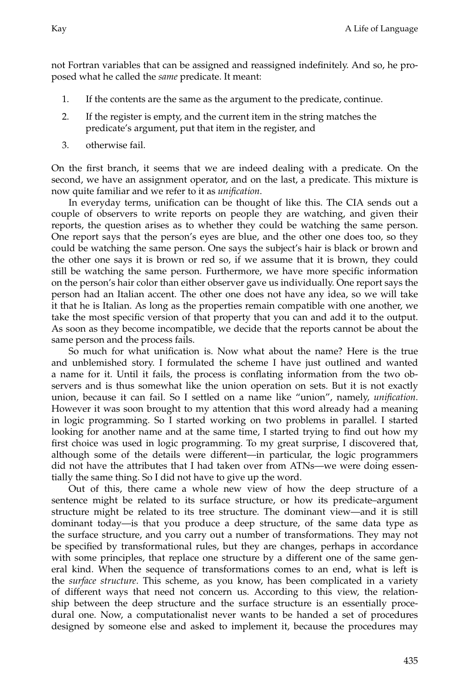not Fortran variables that can be assigned and reassigned indefinitely. And so, he proposed what he called the *same* predicate. It meant:

- 1. If the contents are the same as the argument to the predicate, continue.
- 2. If the register is empty, and the current item in the string matches the predicate's argument, put that item in the register, and
- 3. otherwise fail.

On the first branch, it seems that we are indeed dealing with a predicate. On the second, we have an assignment operator, and on the last, a predicate. This mixture is now quite familiar and we refer to it as *unification*.

In everyday terms, unification can be thought of like this. The CIA sends out a couple of observers to write reports on people they are watching, and given their reports, the question arises as to whether they could be watching the same person. One report says that the person's eyes are blue, and the other one does too, so they could be watching the same person. One says the subject's hair is black or brown and the other one says it is brown or red so, if we assume that it is brown, they could still be watching the same person. Furthermore, we have more specific information on the person's hair color than either observer gave us individually. One report says the person had an Italian accent. The other one does not have any idea, so we will take it that he is Italian. As long as the properties remain compatible with one another, we take the most specific version of that property that you can and add it to the output. As soon as they become incompatible, we decide that the reports cannot be about the same person and the process fails.

So much for what unification is. Now what about the name? Here is the true and unblemished story. I formulated the scheme I have just outlined and wanted a name for it. Until it fails, the process is conflating information from the two observers and is thus somewhat like the union operation on sets. But it is not exactly union, because it can fail. So I settled on a name like "union", namely, *unification*. However it was soon brought to my attention that this word already had a meaning in logic programming. So I started working on two problems in parallel. I started looking for another name and at the same time, I started trying to find out how my first choice was used in logic programming. To my great surprise, I discovered that, although some of the details were different—in particular, the logic programmers did not have the attributes that I had taken over from ATNs—we were doing essentially the same thing. So I did not have to give up the word.

Out of this, there came a whole new view of how the deep structure of a sentence might be related to its surface structure, or how its predicate–argument structure might be related to its tree structure. The dominant view—and it is still dominant today—is that you produce a deep structure, of the same data type as the surface structure, and you carry out a number of transformations. They may not be specified by transformational rules, but they are changes, perhaps in accordance with some principles, that replace one structure by a different one of the same general kind. When the sequence of transformations comes to an end, what is left is the *surface structure*. This scheme, as you know, has been complicated in a variety of different ways that need not concern us. According to this view, the relationship between the deep structure and the surface structure is an essentially procedural one. Now, a computationalist never wants to be handed a set of procedures designed by someone else and asked to implement it, because the procedures may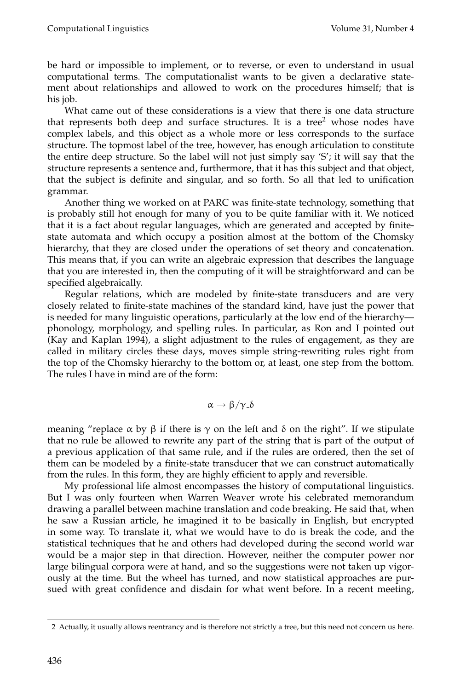be hard or impossible to implement, or to reverse, or even to understand in usual computational terms. The computationalist wants to be given a declarative statement about relationships and allowed to work on the procedures himself; that is his job.

What came out of these considerations is a view that there is one data structure that represents both deep and surface structures. It is a tree<sup>2</sup> whose nodes have complex labels, and this object as a whole more or less corresponds to the surface structure. The topmost label of the tree, however, has enough articulation to constitute the entire deep structure. So the label will not just simply say 'S'; it will say that the structure represents a sentence and, furthermore, that it has this subject and that object, that the subject is definite and singular, and so forth. So all that led to unification grammar.

Another thing we worked on at PARC was finite-state technology, something that is probably still hot enough for many of you to be quite familiar with it. We noticed that it is a fact about regular languages, which are generated and accepted by finitestate automata and which occupy a position almost at the bottom of the Chomsky hierarchy, that they are closed under the operations of set theory and concatenation. This means that, if you can write an algebraic expression that describes the language that you are interested in, then the computing of it will be straightforward and can be specified algebraically.

Regular relations, which are modeled by finite-state transducers and are very closely related to finite-state machines of the standard kind, have just the power that is needed for many linguistic operations, particularly at the low end of the hierarchy phonology, morphology, and spelling rules. In particular, as Ron and I pointed out (Kay and Kaplan 1994), a slight adjustment to the rules of engagement, as they are called in military circles these days, moves simple string-rewriting rules right from the top of the Chomsky hierarchy to the bottom or, at least, one step from the bottom. The rules I have in mind are of the form:

$$
\alpha \to \beta/\gamma_-\delta
$$

meaning "replace α by β if there is γ on the left and δ on the right". If we stipulate that no rule be allowed to rewrite any part of the string that is part of the output of a previous application of that same rule, and if the rules are ordered, then the set of them can be modeled by a finite-state transducer that we can construct automatically from the rules. In this form, they are highly efficient to apply and reversible.

My professional life almost encompasses the history of computational linguistics. But I was only fourteen when Warren Weaver wrote his celebrated memorandum drawing a parallel between machine translation and code breaking. He said that, when he saw a Russian article, he imagined it to be basically in English, but encrypted in some way. To translate it, what we would have to do is break the code, and the statistical techniques that he and others had developed during the second world war would be a major step in that direction. However, neither the computer power nor large bilingual corpora were at hand, and so the suggestions were not taken up vigorously at the time. But the wheel has turned, and now statistical approaches are pursued with great confidence and disdain for what went before. In a recent meeting,

<sup>2</sup> Actually, it usually allows reentrancy and is therefore not strictly a tree, but this need not concern us here.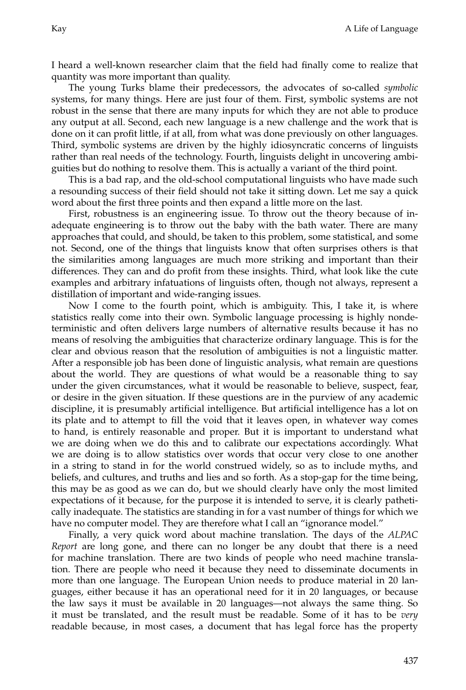I heard a well-known researcher claim that the field had finally come to realize that quantity was more important than quality.

The young Turks blame their predecessors, the advocates of so-called *symbolic* systems, for many things. Here are just four of them. First, symbolic systems are not robust in the sense that there are many inputs for which they are not able to produce any output at all. Second, each new language is a new challenge and the work that is done on it can profit little, if at all, from what was done previously on other languages. Third, symbolic systems are driven by the highly idiosyncratic concerns of linguists rather than real needs of the technology. Fourth, linguists delight in uncovering ambiguities but do nothing to resolve them. This is actually a variant of the third point.

This is a bad rap, and the old-school computational linguists who have made such a resounding success of their field should not take it sitting down. Let me say a quick word about the first three points and then expand a little more on the last.

First, robustness is an engineering issue. To throw out the theory because of inadequate engineering is to throw out the baby with the bath water. There are many approaches that could, and should, be taken to this problem, some statistical, and some not. Second, one of the things that linguists know that often surprises others is that the similarities among languages are much more striking and important than their differences. They can and do profit from these insights. Third, what look like the cute examples and arbitrary infatuations of linguists often, though not always, represent a distillation of important and wide-ranging issues.

Now I come to the fourth point, which is ambiguity. This, I take it, is where statistics really come into their own. Symbolic language processing is highly nondeterministic and often delivers large numbers of alternative results because it has no means of resolving the ambiguities that characterize ordinary language. This is for the clear and obvious reason that the resolution of ambiguities is not a linguistic matter. After a responsible job has been done of linguistic analysis, what remain are questions about the world. They are questions of what would be a reasonable thing to say under the given circumstances, what it would be reasonable to believe, suspect, fear, or desire in the given situation. If these questions are in the purview of any academic discipline, it is presumably artificial intelligence. But artificial intelligence has a lot on its plate and to attempt to fill the void that it leaves open, in whatever way comes to hand, is entirely reasonable and proper. But it is important to understand what we are doing when we do this and to calibrate our expectations accordingly. What we are doing is to allow statistics over words that occur very close to one another in a string to stand in for the world construed widely, so as to include myths, and beliefs, and cultures, and truths and lies and so forth. As a stop-gap for the time being, this may be as good as we can do, but we should clearly have only the most limited expectations of it because, for the purpose it is intended to serve, it is clearly pathetically inadequate. The statistics are standing in for a vast number of things for which we have no computer model. They are therefore what I call an "ignorance model."

Finally, a very quick word about machine translation. The days of the *ALPAC Report* are long gone, and there can no longer be any doubt that there is a need for machine translation. There are two kinds of people who need machine translation. There are people who need it because they need to disseminate documents in more than one language. The European Union needs to produce material in 20 languages, either because it has an operational need for it in 20 languages, or because the law says it must be available in 20 languages—not always the same thing. So it must be translated, and the result must be readable. Some of it has to be *very* readable because, in most cases, a document that has legal force has the property